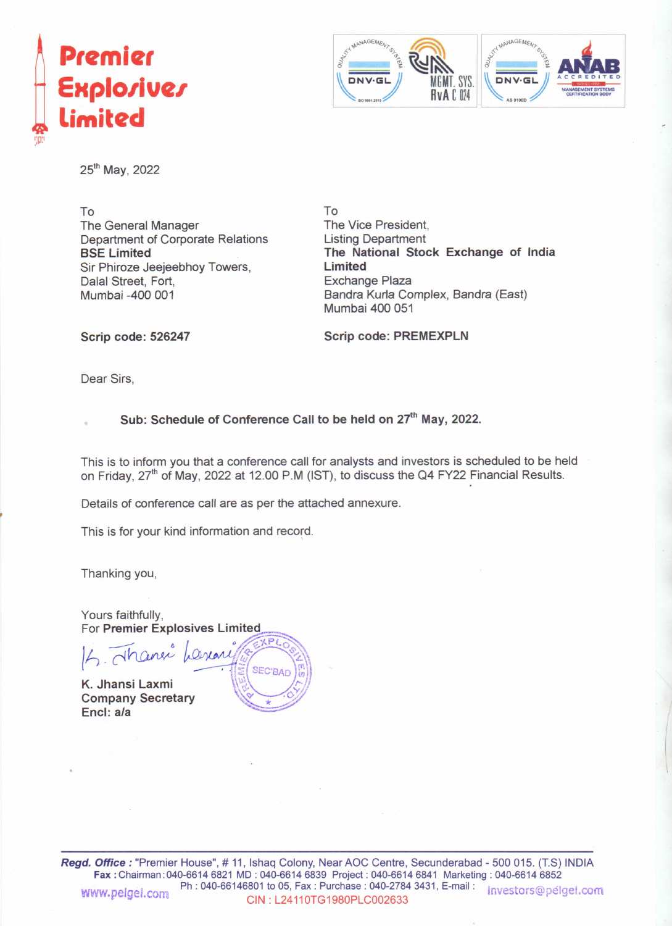



25<sup>th</sup> May, 2022

To The General Manager Department of Corporate Relations BSE Limited Sir Phiroze Jeejeebhoy Towers, Dalal Street, Fort, Mumbai -400 001

To The Vice President, Listing Department The National Stock Exchange of India Limited Exchange Plaza Bandra Kurla Complex, Bandra (East) Mumbai 400 051

Scrip code: 526247

Scrip code: PREMEXPLN

Dear Sirs,

### Sub: Schedule of Conference Call to be held on 27<sup>th</sup> May, 2022.

This is to inform you that a conference call for analysts and investors is scheduled to be held on Friday, 27<sup>th</sup> of May, 2022 at 12.00 P.M (IST), to discuss the Q4 FY22 Financial Results.

Details of conference call are as per the attached annexure.

This is for your kind information and record.

Thanking you,

Yours faithfully, For Premier Explosives Limited

 $\left| \mathcal{L}_1 \right|$   $\left| \mathcal{L}_2 \right|$   $\left| \mathcal{L}_3 \right|$   $\left| \mathcal{L}_4 \right|$ K. Jhansi Laxmi

Company Secretary *~~~;y* Encl: a/a